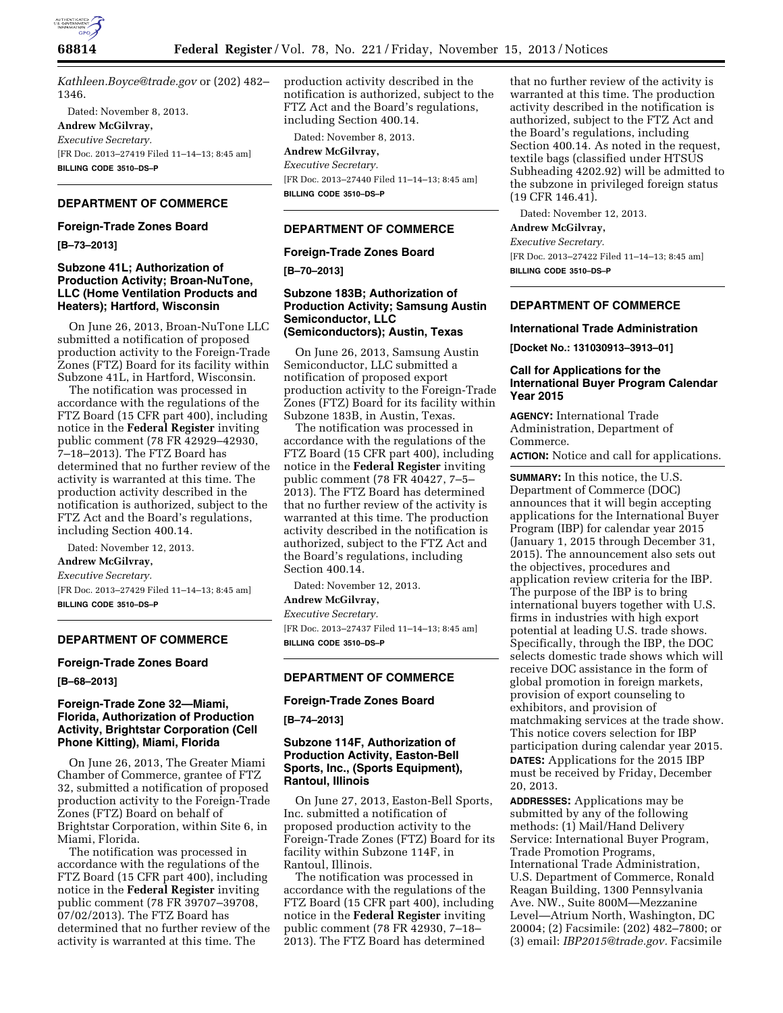

*[Kathleen.Boyce@trade.gov](mailto:Kathleen.Boyce@trade.gov)* or (202) 482– 1346.

Dated: November 8, 2013.

**Andrew McGilvray,** 

*Executive Secretary.* 

[FR Doc. 2013–27419 Filed 11–14–13; 8:45 am] **BILLING CODE 3510–DS–P** 

# **DEPARTMENT OF COMMERCE**

### **Foreign-Trade Zones Board**

**[B–73–2013]** 

### **Subzone 41L; Authorization of Production Activity; Broan-NuTone, LLC (Home Ventilation Products and Heaters); Hartford, Wisconsin**

On June 26, 2013, Broan-NuTone LLC submitted a notification of proposed production activity to the Foreign-Trade Zones (FTZ) Board for its facility within Subzone 41L, in Hartford, Wisconsin.

The notification was processed in accordance with the regulations of the FTZ Board (15 CFR part 400), including notice in the **Federal Register** inviting public comment (78 FR 42929–42930, 7–18–2013). The FTZ Board has determined that no further review of the activity is warranted at this time. The production activity described in the notification is authorized, subject to the FTZ Act and the Board's regulations, including Section 400.14.

Dated: November 12, 2013.

**Andrew McGilvray,** 

*Executive Secretary.* 

[FR Doc. 2013–27429 Filed 11–14–13; 8:45 am] **BILLING CODE 3510–DS–P** 

# **DEPARTMENT OF COMMERCE**

#### **Foreign-Trade Zones Board**

**[B–68–2013]** 

## **Foreign-Trade Zone 32—Miami, Florida, Authorization of Production Activity, Brightstar Corporation (Cell Phone Kitting), Miami, Florida**

On June 26, 2013, The Greater Miami Chamber of Commerce, grantee of FTZ 32, submitted a notification of proposed production activity to the Foreign-Trade Zones (FTZ) Board on behalf of Brightstar Corporation, within Site 6, in Miami, Florida.

The notification was processed in accordance with the regulations of the FTZ Board (15 CFR part 400), including notice in the **Federal Register** inviting public comment (78 FR 39707–39708, 07/02/2013). The FTZ Board has determined that no further review of the activity is warranted at this time. The

production activity described in the notification is authorized, subject to the FTZ Act and the Board's regulations, including Section 400.14.

Dated: November 8, 2013. **Andrew McGilvray,**  *Executive Secretary.*  [FR Doc. 2013–27440 Filed 11–14–13; 8:45 am] **BILLING CODE 3510–DS–P** 

### **DEPARTMENT OF COMMERCE**

### **Foreign-Trade Zones Board**

**[B–70–2013]** 

# **Subzone 183B; Authorization of Production Activity; Samsung Austin Semiconductor, LLC (Semiconductors); Austin, Texas**

On June 26, 2013, Samsung Austin Semiconductor, LLC submitted a notification of proposed export production activity to the Foreign-Trade Zones (FTZ) Board for its facility within Subzone 183B, in Austin, Texas.

The notification was processed in accordance with the regulations of the FTZ Board (15 CFR part 400), including notice in the **Federal Register** inviting public comment (78 FR 40427, 7–5– 2013). The FTZ Board has determined that no further review of the activity is warranted at this time. The production activity described in the notification is authorized, subject to the FTZ Act and the Board's regulations, including Section 400.14.

Dated: November 12, 2013.

#### **Andrew McGilvray,**

*Executive Secretary.*  [FR Doc. 2013–27437 Filed 11–14–13; 8:45 am] **BILLING CODE 3510–DS–P** 

### **DEPARTMENT OF COMMERCE**

### **Foreign-Trade Zones Board**

**[B–74–2013]** 

# **Subzone 114F, Authorization of Production Activity, Easton-Bell Sports, Inc., (Sports Equipment), Rantoul, Illinois**

On June 27, 2013, Easton-Bell Sports, Inc. submitted a notification of proposed production activity to the Foreign-Trade Zones (FTZ) Board for its facility within Subzone 114F, in Rantoul, Illinois.

The notification was processed in accordance with the regulations of the FTZ Board (15 CFR part 400), including notice in the **Federal Register** inviting public comment (78 FR 42930, 7–18– 2013). The FTZ Board has determined

that no further review of the activity is warranted at this time. The production activity described in the notification is authorized, subject to the FTZ Act and the Board's regulations, including Section 400.14. As noted in the request, textile bags (classified under HTSUS Subheading 4202.92) will be admitted to the subzone in privileged foreign status (19 CFR 146.41).

Dated: November 12, 2013.

# **Andrew McGilvray,**

*Executive Secretary.* 

[FR Doc. 2013–27422 Filed 11–14–13; 8:45 am] **BILLING CODE 3510–DS–P** 

# **DEPARTMENT OF COMMERCE**

### **International Trade Administration**

**[Docket No.: 131030913–3913–01]** 

# **Call for Applications for the International Buyer Program Calendar Year 2015**

**AGENCY:** International Trade Administration, Department of Commerce.

**ACTION:** Notice and call for applications.

**SUMMARY:** In this notice, the U.S. Department of Commerce (DOC) announces that it will begin accepting applications for the International Buyer Program (IBP) for calendar year 2015 (January 1, 2015 through December 31, 2015). The announcement also sets out the objectives, procedures and application review criteria for the IBP. The purpose of the IBP is to bring international buyers together with U.S. firms in industries with high export potential at leading U.S. trade shows. Specifically, through the IBP, the DOC selects domestic trade shows which will receive DOC assistance in the form of global promotion in foreign markets, provision of export counseling to exhibitors, and provision of matchmaking services at the trade show. This notice covers selection for IBP participation during calendar year 2015. **DATES:** Applications for the 2015 IBP must be received by Friday, December 20, 2013.

**ADDRESSES:** Applications may be submitted by any of the following methods: (1) Mail/Hand Delivery Service: International Buyer Program, Trade Promotion Programs, International Trade Administration, U.S. Department of Commerce, Ronald Reagan Building, 1300 Pennsylvania Ave. NW., Suite 800M—Mezzanine Level—Atrium North, Washington, DC 20004; (2) Facsimile: (202) 482–7800; or (3) email: *[IBP2015@trade.gov.](mailto:IBP2015@trade.gov)* Facsimile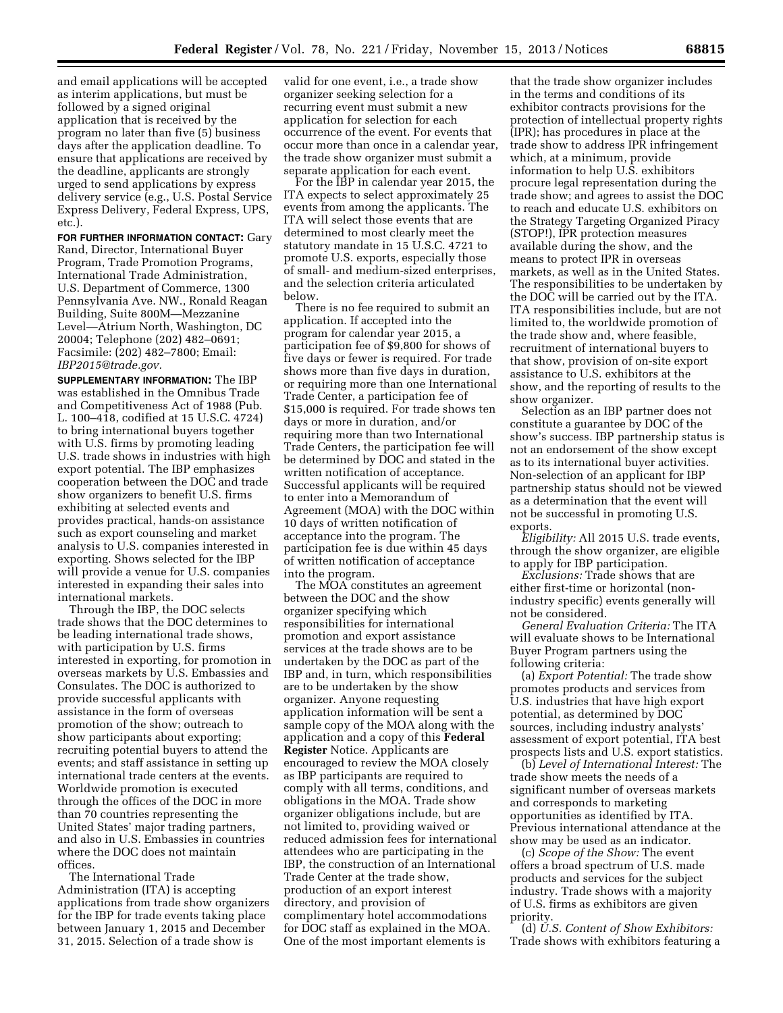and email applications will be accepted as interim applications, but must be followed by a signed original application that is received by the program no later than five (5) business days after the application deadline. To ensure that applications are received by the deadline, applicants are strongly urged to send applications by express delivery service (e.g., U.S. Postal Service Express Delivery, Federal Express, UPS, etc.).

**FOR FURTHER INFORMATION CONTACT:** Gary Rand, Director, International Buyer Program, Trade Promotion Programs, International Trade Administration, U.S. Department of Commerce, 1300 Pennsylvania Ave. NW., Ronald Reagan Building, Suite 800M—Mezzanine Level—Atrium North, Washington, DC 20004; Telephone (202) 482–0691; Facsimile: (202) 482–7800; Email: *[IBP2015@trade.gov.](mailto:IBP2015@trade.gov)* 

**SUPPLEMENTARY INFORMATION:** The IBP was established in the Omnibus Trade and Competitiveness Act of 1988 (Pub. L. 100–418, codified at 15 U.S.C. 4724) to bring international buyers together with U.S. firms by promoting leading U.S. trade shows in industries with high export potential. The IBP emphasizes cooperation between the DOC and trade show organizers to benefit U.S. firms exhibiting at selected events and provides practical, hands-on assistance such as export counseling and market analysis to U.S. companies interested in exporting. Shows selected for the IBP will provide a venue for U.S. companies interested in expanding their sales into international markets.

Through the IBP, the DOC selects trade shows that the DOC determines to be leading international trade shows, with participation by U.S. firms interested in exporting, for promotion in overseas markets by U.S. Embassies and Consulates. The DOC is authorized to provide successful applicants with assistance in the form of overseas promotion of the show; outreach to show participants about exporting; recruiting potential buyers to attend the events; and staff assistance in setting up international trade centers at the events. Worldwide promotion is executed through the offices of the DOC in more than 70 countries representing the United States' major trading partners, and also in U.S. Embassies in countries where the DOC does not maintain offices.

The International Trade Administration (ITA) is accepting applications from trade show organizers for the IBP for trade events taking place between January 1, 2015 and December 31, 2015. Selection of a trade show is

valid for one event, i.e., a trade show organizer seeking selection for a recurring event must submit a new application for selection for each occurrence of the event. For events that occur more than once in a calendar year, the trade show organizer must submit a separate application for each event.

For the IBP in calendar year 2015, the ITA expects to select approximately 25 events from among the applicants. The ITA will select those events that are determined to most clearly meet the statutory mandate in 15 U.S.C. 4721 to promote U.S. exports, especially those of small- and medium-sized enterprises, and the selection criteria articulated below.

There is no fee required to submit an application. If accepted into the program for calendar year 2015, a participation fee of \$9,800 for shows of five days or fewer is required. For trade shows more than five days in duration, or requiring more than one International Trade Center, a participation fee of \$15,000 is required. For trade shows ten days or more in duration, and/or requiring more than two International Trade Centers, the participation fee will be determined by DOC and stated in the written notification of acceptance. Successful applicants will be required to enter into a Memorandum of Agreement (MOA) with the DOC within 10 days of written notification of acceptance into the program. The participation fee is due within 45 days of written notification of acceptance into the program.

The MOA constitutes an agreement between the DOC and the show organizer specifying which responsibilities for international promotion and export assistance services at the trade shows are to be undertaken by the DOC as part of the IBP and, in turn, which responsibilities are to be undertaken by the show organizer. Anyone requesting application information will be sent a sample copy of the MOA along with the application and a copy of this **Federal Register** Notice. Applicants are encouraged to review the MOA closely as IBP participants are required to comply with all terms, conditions, and obligations in the MOA. Trade show organizer obligations include, but are not limited to, providing waived or reduced admission fees for international attendees who are participating in the IBP, the construction of an International Trade Center at the trade show, production of an export interest directory, and provision of complimentary hotel accommodations for DOC staff as explained in the MOA. One of the most important elements is

that the trade show organizer includes in the terms and conditions of its exhibitor contracts provisions for the protection of intellectual property rights (IPR); has procedures in place at the trade show to address IPR infringement which, at a minimum, provide information to help U.S. exhibitors procure legal representation during the trade show; and agrees to assist the DOC to reach and educate U.S. exhibitors on the Strategy Targeting Organized Piracy (STOP!), IPR protection measures available during the show, and the means to protect IPR in overseas markets, as well as in the United States. The responsibilities to be undertaken by the DOC will be carried out by the ITA. ITA responsibilities include, but are not limited to, the worldwide promotion of the trade show and, where feasible, recruitment of international buyers to that show, provision of on-site export assistance to U.S. exhibitors at the show, and the reporting of results to the show organizer.

Selection as an IBP partner does not constitute a guarantee by DOC of the show's success. IBP partnership status is not an endorsement of the show except as to its international buyer activities. Non-selection of an applicant for IBP partnership status should not be viewed as a determination that the event will not be successful in promoting U.S. exports.

*Eligibility:* All 2015 U.S. trade events, through the show organizer, are eligible to apply for IBP participation.

*Exclusions:* Trade shows that are either first-time or horizontal (nonindustry specific) events generally will not be considered.

*General Evaluation Criteria:* The ITA will evaluate shows to be International Buyer Program partners using the following criteria:

(a) *Export Potential:* The trade show promotes products and services from U.S. industries that have high export potential, as determined by DOC sources, including industry analysts' assessment of export potential, ITA best prospects lists and U.S. export statistics.

(b) *Level of International Interest:* The trade show meets the needs of a significant number of overseas markets and corresponds to marketing opportunities as identified by ITA. Previous international attendance at the show may be used as an indicator.

(c) *Scope of the Show:* The event offers a broad spectrum of U.S. made products and services for the subject industry. Trade shows with a majority of U.S. firms as exhibitors are given priority.

(d) *U.S. Content of Show Exhibitors:*  Trade shows with exhibitors featuring a